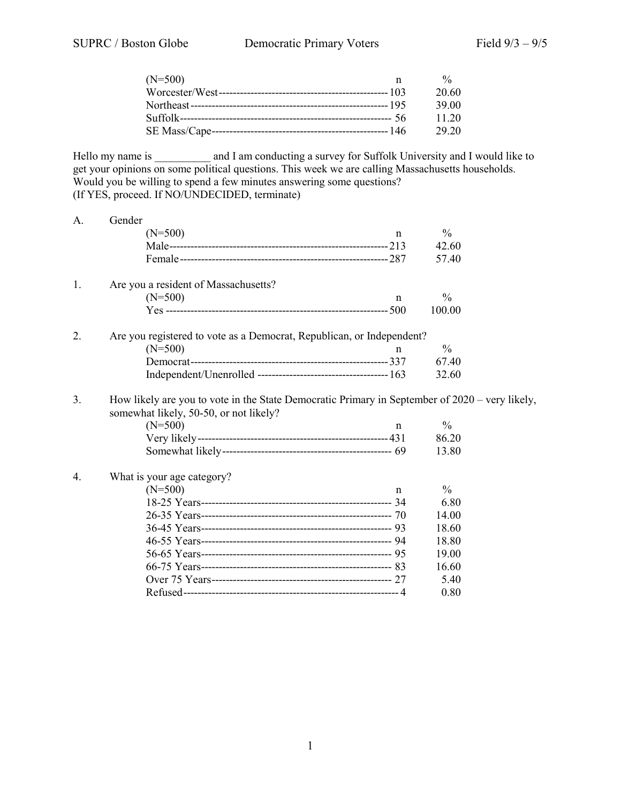| $(N=500)$ | 0/2   |
|-----------|-------|
|           | 20.60 |
|           | 39.00 |
|           | 11.20 |
|           | 29.20 |

Hello my name is \_\_\_\_\_\_\_\_\_\_ and I am conducting a survey for Suffolk University and I would like to get your opinions on some political questions. This week we are calling Massachusetts households. Would you be willing to spend a few minutes answering some questions? (If YES, proceed. If NO/UNDECIDED, terminate)

| A. | Gender                                                                                                                                             |               |  |
|----|----------------------------------------------------------------------------------------------------------------------------------------------------|---------------|--|
|    | $(N=500)$<br>n                                                                                                                                     | $\frac{0}{0}$ |  |
|    |                                                                                                                                                    | 42.60         |  |
|    |                                                                                                                                                    | 57.40         |  |
| 1. | Are you a resident of Massachusetts?                                                                                                               |               |  |
|    | $(N=500)$<br>$\mathbf n$                                                                                                                           | $\frac{0}{0}$ |  |
|    |                                                                                                                                                    | 100.00        |  |
| 2. | Are you registered to vote as a Democrat, Republican, or Independent?                                                                              |               |  |
|    | $(N=500)$<br>n                                                                                                                                     | $\frac{0}{0}$ |  |
|    |                                                                                                                                                    | 67.40         |  |
|    |                                                                                                                                                    | 32.60         |  |
| 3. | How likely are you to vote in the State Democratic Primary in September of $2020 - \text{very likely}$ ,<br>somewhat likely, 50-50, or not likely? |               |  |
|    | $(N=500)$<br>$\mathbf n$                                                                                                                           | $\frac{0}{0}$ |  |
|    |                                                                                                                                                    | 86.20         |  |
|    |                                                                                                                                                    | 13.80         |  |
| 4. | What is your age category?                                                                                                                         |               |  |
|    | $(N=500)$<br>n                                                                                                                                     | $\frac{0}{0}$ |  |
|    |                                                                                                                                                    | 6.80          |  |
|    |                                                                                                                                                    | 14.00         |  |
|    |                                                                                                                                                    | 18.60         |  |
|    |                                                                                                                                                    | 18.80         |  |
|    |                                                                                                                                                    | 19.00         |  |
|    |                                                                                                                                                    | 16.60         |  |
|    |                                                                                                                                                    | 5.40          |  |
|    |                                                                                                                                                    | 0.80          |  |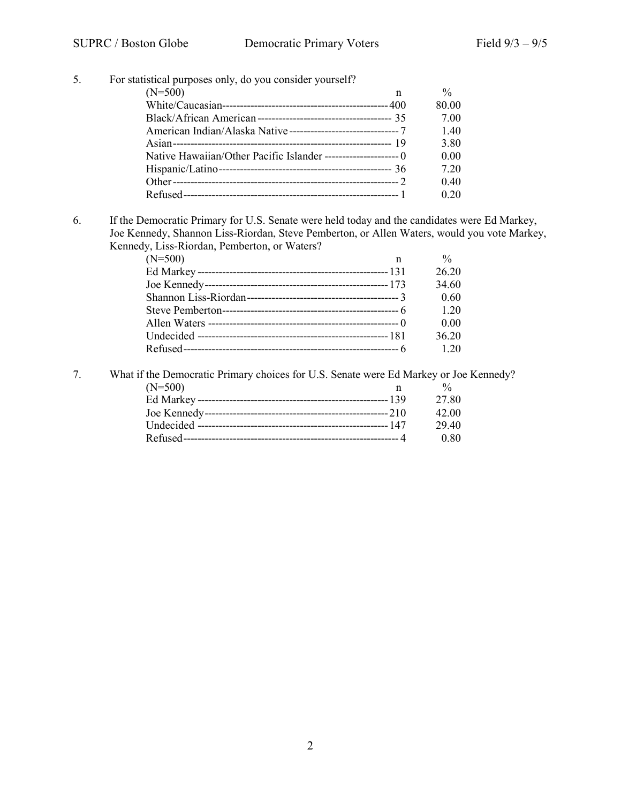| $(N=500)$<br>n | $\frac{0}{0}$                                            |
|----------------|----------------------------------------------------------|
|                | 80.00                                                    |
|                | 7.00                                                     |
|                | 1.40                                                     |
|                | 3.80                                                     |
|                | 0.00                                                     |
|                | 7.20                                                     |
|                | 0.40                                                     |
|                | 0.20                                                     |
|                | For statistical purposes only, do you consider yourself? |

6. If the Democratic Primary for U.S. Senate were held today and the candidates were Ed Markey, Joe Kennedy, Shannon Liss-Riordan, Steve Pemberton, or Allen Waters, would you vote Markey, Kennedy, Liss-Riordan, Pemberton, or Waters?

| , , ,     |              |               |
|-----------|--------------|---------------|
| $(N=500)$ | $\mathsf{n}$ | $\frac{0}{0}$ |
|           |              | 26.20         |
|           |              | 34.60         |
|           |              | 0.60          |
|           |              | 1.20          |
|           |              | 0.00          |
|           |              | 36.20         |
|           |              | 1.20          |
|           |              |               |

7. What if the Democratic Primary choices for U.S. Senate were Ed Markey or Joe Kennedy?<br>  $n \frac{\%}{\%}$  $(N=500)$  n % Ed Markey ------------------------------------------------------139 27.80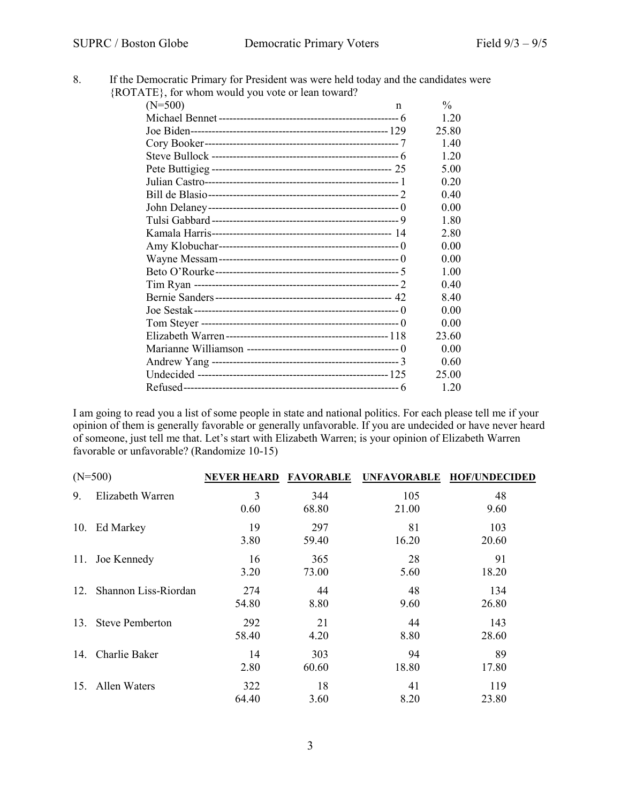| If the Democratic Primary for President was were held today and the candidates were |
|-------------------------------------------------------------------------------------|
| {ROTATE}, for whom would you vote or lean toward?                                   |

| $11$ , $101$ when would you you of fear toward. |   |               |
|-------------------------------------------------|---|---------------|
| $(N=500)$                                       | n | $\frac{0}{0}$ |
|                                                 |   | 1.20          |
|                                                 |   | 25.80         |
|                                                 |   | 1.40          |
|                                                 |   | 1.20          |
|                                                 |   | 5.00          |
|                                                 |   | 0.20          |
|                                                 |   | 0.40          |
|                                                 |   | 0.00          |
|                                                 |   | 1.80          |
|                                                 |   | 2.80          |
|                                                 |   | 0.00          |
|                                                 |   | 0.00          |
|                                                 |   | 1.00          |
|                                                 |   | 0.40          |
|                                                 |   | 8.40          |
|                                                 |   | 0.00          |
|                                                 |   | 0.00          |
|                                                 |   | 23.60         |
|                                                 |   | 0.00          |
|                                                 |   | 0.60          |
|                                                 |   | 25.00         |
|                                                 |   | 1.20          |

I am going to read you a list of some people in state and national politics. For each please tell me if your opinion of them is generally favorable or generally unfavorable. If you are undecided or have never heard of someone, just tell me that. Let's start with Elizabeth Warren; is your opinion of Elizabeth Warren favorable or unfavorable? (Randomize 10-15)

|     | $(N=500)$              | <b>NEVER HEARD</b> | <b>FAVORABLE</b> | <b>UNFAVORABLE</b> | <b>HOF/UNDECIDED</b> |
|-----|------------------------|--------------------|------------------|--------------------|----------------------|
| 9.  | Elizabeth Warren       | 3<br>0.60          | 344<br>68.80     | 105<br>21.00       | 48<br>9.60           |
| 10. | Ed Markey              | 19<br>3.80         | 297<br>59.40     | 81<br>16.20        | 103<br>20.60         |
| 11. | Joe Kennedy            | 16<br>3.20         | 365<br>73.00     | 28<br>5.60         | 91<br>18.20          |
| 12. | Shannon Liss-Riordan   | 274<br>54.80       | 44<br>8.80       | 48<br>9.60         | 134<br>26.80         |
| 13. | <b>Steve Pemberton</b> | 292<br>58.40       | 21<br>4.20       | 44<br>8.80         | 143<br>28.60         |
| 14. | Charlie Baker          | 14<br>2.80         | 303<br>60.60     | 94<br>18.80        | 89<br>17.80          |
|     | 15. Allen Waters       | 322<br>64.40       | 18<br>3.60       | 41<br>8.20         | 119<br>23.80         |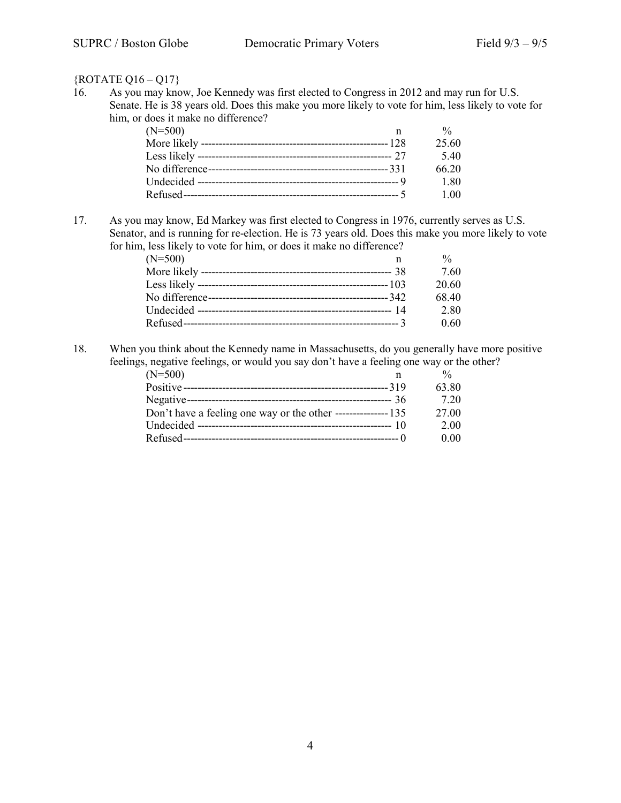## {ROTATE Q16 – Q17}

16. As you may know, Joe Kennedy was first elected to Congress in 2012 and may run for U.S. Senate. He is 38 years old. Does this make you more likely to vote for him, less likely to vote for him, or does it make no difference?

| $(N=500)$ |       |
|-----------|-------|
|           | 25.60 |
|           | 5.40  |
|           | 66.20 |
|           | 1.80  |
|           | 1.00  |

17. As you may know, Ed Markey was first elected to Congress in 1976, currently serves as U.S. Senator, and is running for re-election. He is 73 years old. Does this make you more likely to vote for him, less likely to vote for him, or does it make no difference?

| $(N=500)$ | n | $\frac{0}{0}$ |
|-----------|---|---------------|
|           |   | 7.60          |
|           |   | 20.60         |
|           |   | 68.40         |
|           |   | 2.80          |
|           |   | 0.60          |

18. When you think about the Kennedy name in Massachusetts, do you generally have more positive feelings, negative feelings, or would you say don't have a feeling one way or the other?

| $(N=500)$                                                     | n |       |
|---------------------------------------------------------------|---|-------|
|                                                               |   | 63.80 |
|                                                               |   | 7.20  |
| Don't have a feeling one way or the other ----------------135 |   | 27.00 |
|                                                               |   | 2.00  |
|                                                               |   | 0.00  |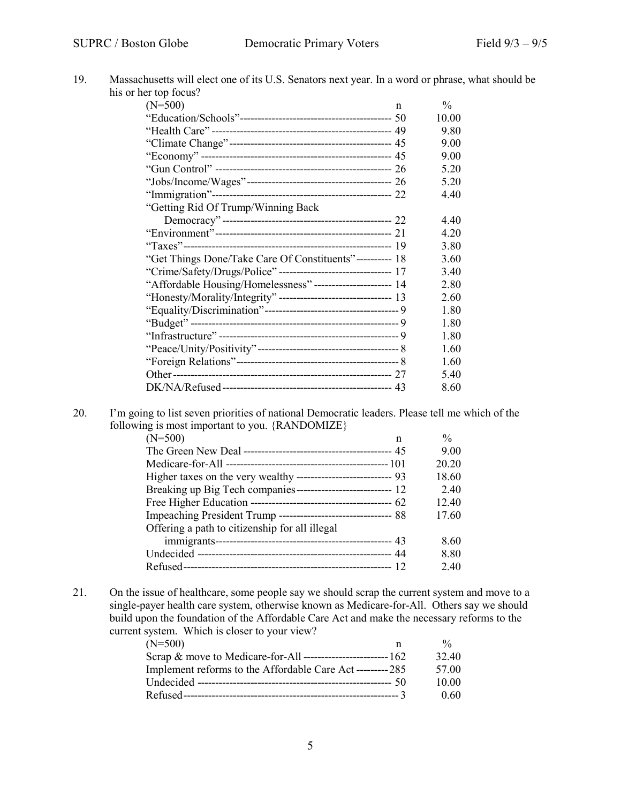| his or her top focus?                                           |              |               |
|-----------------------------------------------------------------|--------------|---------------|
| $(N=500)$                                                       | $\mathsf{n}$ | $\frac{0}{0}$ |
|                                                                 |              | 10.00         |
|                                                                 |              | 9.80          |
|                                                                 |              | 9.00          |
|                                                                 |              | 9.00          |
|                                                                 |              | 5.20          |
|                                                                 |              | 5.20          |
|                                                                 |              | 4.40          |
| "Getting Rid Of Trump/Winning Back                              |              |               |
|                                                                 |              | 4.40          |
|                                                                 |              | 4.20          |
|                                                                 |              | 3.80          |
| "Get Things Done/Take Care Of Constituents"---------- 18        |              | 3.60          |
| "Crime/Safety/Drugs/Police" -------------------------------- 17 |              | 3.40          |
| "Affordable Housing/Homelessness" ----------------------- 14    |              | 2.80          |
|                                                                 |              | 2.60          |
|                                                                 |              | 1.80          |
|                                                                 |              | 1.80          |
|                                                                 |              | 1.80          |
|                                                                 |              | 1.60          |
|                                                                 |              | 1.60          |
|                                                                 |              | 5.40          |
|                                                                 |              | 8.60          |

20. I'm going to list seven priorities of national Democratic leaders. Please tell me which of the following is most important to you. {RANDOMIZE}

| $(N=500)$<br>n                                                  | $\frac{0}{0}$ |
|-----------------------------------------------------------------|---------------|
|                                                                 | 9.00          |
|                                                                 | 20.20         |
| Higher taxes on the very wealthy --------------------------- 93 | 18.60         |
|                                                                 | 2.40          |
|                                                                 | 12.40         |
| Impeaching President Trump --------------------------------- 88 | 17.60         |
| Offering a path to citizenship for all illegal                  |               |
|                                                                 | 8.60          |
|                                                                 | 8.80          |
|                                                                 | 2.40          |

21. On the issue of healthcare, some people say we should scrap the current system and move to a single-payer health care system, otherwise known as Medicare-for-All. Others say we should build upon the foundation of the Affordable Care Act and make the necessary reforms to the current system. Which is closer to your view?

| $(N=500)$                                                 | $\frac{0}{6}$ |
|-----------------------------------------------------------|---------------|
|                                                           | 32.40         |
| Implement reforms to the Affordable Care Act ---------285 | 57.00         |
|                                                           | 10.00         |
|                                                           | 0.60          |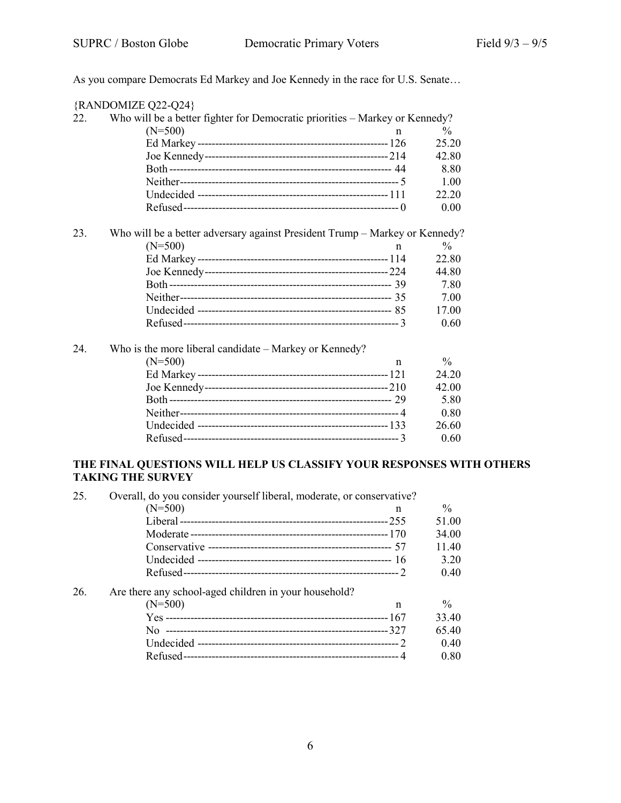As you compare Democrats Ed Markey and Joe Kennedy in the race for U.S. Senate…

|     | {RANDOMIZE Q22-Q24}                                                         |   |               |
|-----|-----------------------------------------------------------------------------|---|---------------|
| 22. | Who will be a better fighter for Democratic priorities – Markey or Kennedy? |   |               |
|     | $(N=500)$                                                                   | n | $\frac{0}{0}$ |
|     |                                                                             |   | 25.20         |
|     |                                                                             |   | 42.80         |
|     |                                                                             |   | 8.80          |
|     |                                                                             |   | 1.00          |
|     |                                                                             |   | 22.20         |
|     |                                                                             |   | 0.00          |
| 23. | Who will be a better adversary against President Trump - Markey or Kennedy? |   |               |
|     | $(N=500)$                                                                   | n | $\frac{0}{0}$ |
|     |                                                                             |   | 22.80         |
|     |                                                                             |   | 44.80         |
|     |                                                                             |   | 7.80          |
|     |                                                                             |   | 7.00          |
|     |                                                                             |   | 17.00         |
|     |                                                                             |   | 0.60          |
| 24. | Who is the more liberal candidate – Markey or Kennedy?                      |   |               |
|     | $(N=500)$                                                                   | n | $\frac{0}{0}$ |
|     |                                                                             |   | 24.20         |
|     |                                                                             |   | 42.00         |
|     |                                                                             |   | 5.80          |
|     |                                                                             |   | 0.80          |
|     |                                                                             |   | 26.60         |
|     |                                                                             |   | 0.60          |

## **THE FINAL QUESTIONS WILL HELP US CLASSIFY YOUR RESPONSES WITH OTHERS TAKING THE SURVEY**

| 25. | Overall, do you consider yourself liberal, moderate, or conservative? |               |
|-----|-----------------------------------------------------------------------|---------------|
|     | $(N=500)$<br>n                                                        | $\frac{0}{0}$ |
|     |                                                                       | 51.00         |
|     |                                                                       | 34.00         |
|     |                                                                       | 11.40         |
|     |                                                                       | 3.20          |
|     |                                                                       | 0.40          |
| 26. | Are there any school-aged children in your household?                 |               |
|     | $(N=500)$<br>n                                                        | $\frac{0}{0}$ |
|     |                                                                       | 33.40         |
|     |                                                                       | 65.40         |
|     |                                                                       | 0.40          |
|     |                                                                       | 0.80          |